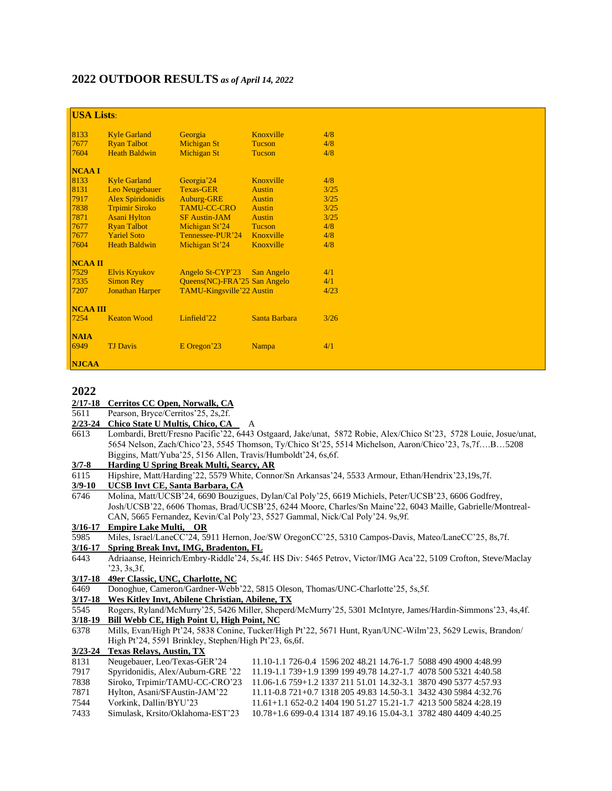# **2022 OUTDOOR RESULTS** *as of April 14, 2022*

| <b>USA Lists:</b> |                          |                              |               |      |  |  |
|-------------------|--------------------------|------------------------------|---------------|------|--|--|
| 8133              | <b>Kyle Garland</b>      | Georgia                      | Knoxville     | 4/8  |  |  |
| 7677              | <b>Ryan Talbot</b>       | Michigan St                  | <b>Tucson</b> | 4/8  |  |  |
| 7604              | <b>Heath Baldwin</b>     | Michigan St                  | <b>Tucson</b> | 4/8  |  |  |
| <b>NCAAI</b>      |                          |                              |               |      |  |  |
| 8133              | <b>Kyle Garland</b>      | Georgia <sup>'</sup> 24      | Knoxville     | 4/8  |  |  |
| 8131              | Leo Neugebauer           | <b>Texas-GER</b>             | <b>Austin</b> | 3/25 |  |  |
| 7917              | <b>Alex Spiridonidis</b> | <b>Auburg-GRE</b>            | <b>Austin</b> | 3/25 |  |  |
| 7838              | <b>Trpimir Siroko</b>    | <b>TAMU-CC-CRO</b>           | <b>Austin</b> | 3/25 |  |  |
| 7871              | <b>Asani Hylton</b>      | <b>SF Austin-JAM</b>         | <b>Austin</b> | 3/25 |  |  |
| 7677              | <b>Ryan Talbot</b>       | Michigan St <sup>24</sup>    | <b>Tucson</b> | 4/8  |  |  |
| 7677              | <b>Yariel Soto</b>       | Tennessee-PUR'24             | Knoxville     | 4/8  |  |  |
| 7604              | <b>Heath Baldwin</b>     | Michigan St'24               | Knoxville     | 4/8  |  |  |
| <b>NCAA II</b>    |                          |                              |               |      |  |  |
| 7529              | <b>Elvis Kryukov</b>     | Angelo St-CYP'23             | San Angelo    | 4/1  |  |  |
| 7335              | <b>Simon Rey</b>         | Queens(NC)-FRA'25 San Angelo |               | 4/1  |  |  |
| 7207              | <b>Jonathan Harper</b>   | TAMU-Kingsville'22 Austin    |               | 4/23 |  |  |
| <b>NCAA III</b>   |                          |                              |               |      |  |  |
| 7254              | <b>Keaton Wood</b>       | Linfield'22                  | Santa Barbara | 3/26 |  |  |
| <b>NAIA</b>       |                          |                              |               |      |  |  |
| 6949              | <b>TJ</b> Davis          | E Oregon'23                  | <b>Nampa</b>  | 4/1  |  |  |
| <b>NJCAA</b>      |                          |                              |               |      |  |  |

**2022 2/17-18 Cerritos CC Open, Norwalk, CA**

5611 Pearson, Bryce/Cerritos'25, 2s,2f.

2/23-24 Chico State U Multis, Chico, CA

6613 Lombardi, Brett/Fresno Pacific'22, 6443 Ostgaard, Jake/unat, 5872 Robie, Alex/Chico St'23, 5728 Louie, Josue/unat, 5654 Nelson, Zach/Chico'23, 5545 Thomson, Ty/Chico St'25, 5514 Michelson, Aaron/Chico'23, 7s,7f….B…5208 Biggins, Matt/Yuba'25, 5156 Allen, Travis/Humboldt'24, 6s,6f.

## **3/7-8 Harding U Spring Break Multi, Searcy, AR**

6115 Hipshire, Matt/Harding'22, 5579 White, Connor/Sn Arkansas'24, 5533 Armour, Ethan/Hendrix'23,19s,7f.

**3/9-10 UCSB Invt CE, Santa Barbara, CA**

6746 Molina, Matt/UCSB'24, 6690 Bouzigues, Dylan/Cal Poly'25, 6619 Michiels, Peter/UCSB'23, 6606 Godfrey, Josh/UCSB'22, 6606 Thomas, Brad/UCSB'25, 6244 Moore, Charles/Sn Maine'22, 6043 Maille, Gabrielle/Montreal-CAN, 5665 Fernandez, Kevin/Cal Poly'23, 5527 Gammal, Nick/Cal Poly'24. 9s,9f.

# **3/16-17 Empire Lake Multi, OR**

5985 Miles, Israel/LaneCC'24, 5911 Hernon, Joe/SW OregonCC'25, 5310 Campos-Davis, Mateo/LaneCC'25, 8s,7f.

**3/16-17 Spring Break Invt, IMG, Bradenton, FL**

- 6443 Adriaanse, Heinrich/Embry-Riddle'24, 5s,4f. HS Div: 5465 Petrov, Victor/IMG Aca'22, 5109 Crofton, Steve/Maclay '23, 3s,3f,
- **3/17-18 49er Classic, UNC, Charlotte, NC**
- 6469 Donoghue, Cameron/Gardner-Webb'22, 5815 Oleson, Thomas/UNC-Charlotte'25, 5s,5f.
- **3/17-18 Wes Kitley Invt, Abilene Christian, Abilene, TX**
- 5545 Rogers, Ryland/McMurry'25, 5426 Miller, Sheperd/McMurry'25, 5301 McIntyre, James/Hardin-Simmons'23, 4s,4f. **3/18-19 Bill Webb CE, High Point U, High Point, NC**
- 6378 Mills, Evan/High Pt'24, 5838 Conine, Tucker/High Pt'22, 5671 Hunt, Ryan/UNC-Wilm'23, 5629 Lewis, Brandon/ High Pt'24, 5591 Brinkley, Stephen/High Pt'23, 6s,6f.

#### **3/23-24 Texas Relays, Austin, TX**

| 8131 | Neugebauer, Leo/Texas-GER'24      | 11.10-1.1 726-0.4 1596 202 48.21 14.76-1.7 5088 490 4900 4:48.99 |
|------|-----------------------------------|------------------------------------------------------------------|
| 7917 | Spyridonidis, Alex/Auburn-GRE '22 | 11.19-1.1 739+1.9 1399 199 49.78 14.27-1.7 4078 500 5321 4:40.58 |
| 7838 | Siroko, Trpimir/TAMU-CC-CRO'23    | 11.06-1.6 759+1.2 1337 211 51.01 14.32-3.1 3870 490 5377 4:57.93 |
| 7871 | Hylton, Asani/SFAustin-JAM'22     | 11.11-0.8 721+0.7 1318 205 49.83 14.50-3.1 3432 430 5984 4:32.76 |
| 7544 | Vorkink, Dallin/BYU'23            | $11.61+1.1652-0.2140419051.2715.21-1.7421350058244:28.19$        |
| 7433 | Simulask, Krsito/Oklahoma-EST'23  | 10.78+1.6 699-0.4 1314 187 49.16 15.04-3.1 3782 480 4409 4:40.25 |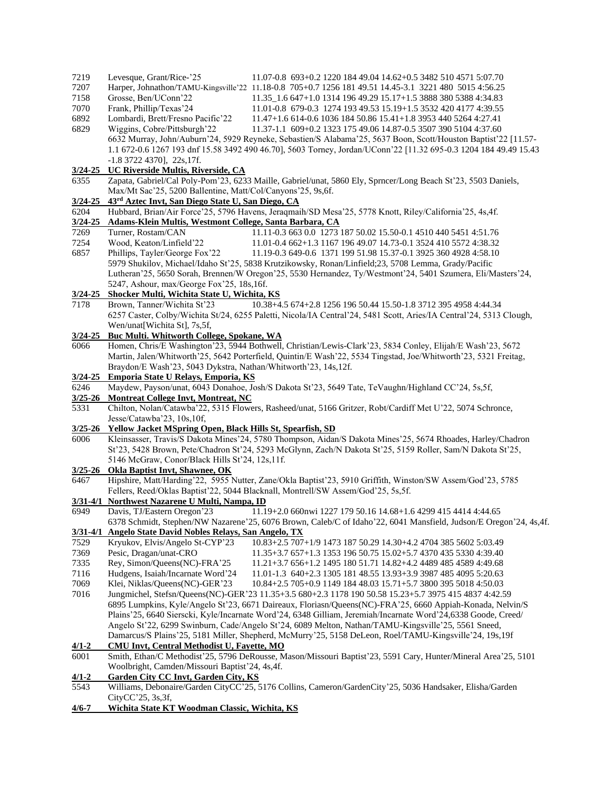| 7219                | Levesque, Grant/Rice-'25<br>11.07-0.8 693+0.2 1220 184 49.04 14.62+0.5 3482 510 4571 5:07.70                                                                                                                          |  |  |  |  |  |
|---------------------|-----------------------------------------------------------------------------------------------------------------------------------------------------------------------------------------------------------------------|--|--|--|--|--|
| 7207                | Harper, Johnathon/TAMU-Kingsville'22 11.18-0.8 705+0.7 1256 181 49.51 14.45-3.1 3221 480 5015 4:56.25                                                                                                                 |  |  |  |  |  |
| 7158                | Grosse, Ben/UConn'22<br>11.35 1.6 647+1.0 1314 196 49.29 15.17+1.5 3888 380 5388 4:34.83                                                                                                                              |  |  |  |  |  |
| 7070                | Frank, Phillip/Texas'24<br>11.01-0.8 679-0.3 1274 193 49.53 15.19+1.5 3532 420 4177 4:39.55                                                                                                                           |  |  |  |  |  |
| 6892                | Lombardi, Brett/Fresno Pacific'22<br>11.47+1.6 614-0.6 1036 184 50.86 15.41+1.8 3953 440 5264 4:27.41                                                                                                                 |  |  |  |  |  |
| 6829                | Wiggins, Cobre/Pittsburgh'22<br>11.37-1.1 609+0.2 1323 175 49.06 14.87-0.5 3507 390 5104 4:37.60                                                                                                                      |  |  |  |  |  |
|                     | 6632 Murray, John/Auburn'24, 5929 Reyneke, Sebastien/S Alabama'25, 5637 Boon, Scott/Houston Baptist'22 [11.57-                                                                                                        |  |  |  |  |  |
|                     | 1.1 672-0.6 1267 193 dnf 15.58 3492 490 46.70], 5603 Torney, Jordan/UConn'22 [11.32 695-0.3 1204 184 49.49 15.43                                                                                                      |  |  |  |  |  |
| $3/24 - 25$         | $-1.8$ 3722 4370], 22s, 17f.<br>UC Riverside Multis, Riverside, CA                                                                                                                                                    |  |  |  |  |  |
| 6355                | Zapata, Gabriel/Cal Poly-Pom'23, 6233 Maille, Gabriel/unat, 5860 Ely, Sprncer/Long Beach St'23, 5503 Daniels,                                                                                                         |  |  |  |  |  |
|                     | Max/Mt Sac'25, 5200 Ballentine, Matt/Col/Canyons'25, 9s, 6f.                                                                                                                                                          |  |  |  |  |  |
| $3/24 - 25$         | 43 <sup>rd</sup> Aztec Invt, San Diego State U, San Diego, CA                                                                                                                                                         |  |  |  |  |  |
| 6204                | Hubbard, Brian/Air Force'25, 5796 Havens, Jeraqmaih/SD Mesa'25, 5778 Knott, Riley/California'25, 4s,4f.                                                                                                               |  |  |  |  |  |
| $3/24 - 25$         | Adams-Klein Multis, Westmont College, Santa Barbara, CA                                                                                                                                                               |  |  |  |  |  |
| 7269                | Turner, Rostam/CAN<br>11.11-0.3 663 0.0 1273 187 50.02 15.50-0.1 4510 440 5451 4:51.76                                                                                                                                |  |  |  |  |  |
| 7254                | Wood, Keaton/Linfield'22<br>11.01-0.4 662+1.3 1167 196 49.07 14.73-0.1 3524 410 5572 4:38.32                                                                                                                          |  |  |  |  |  |
| 6857                | Phillips, Tayler/George Fox'22<br>11.19-0.3 649-0.6 1371 199 51.98 15.37-0.1 3925 360 4928 4:58.10                                                                                                                    |  |  |  |  |  |
|                     | 5979 Shukilov, Michael/Idaho St'25, 5838 Krutzikowsky, Ronan/Linfield;23, 5708 Lemma, Grady/Pacific                                                                                                                   |  |  |  |  |  |
|                     | Lutheran'25, 5650 Sorah, Brennen/W Oregon'25, 5530 Hernandez, Ty/Westmont'24, 5401 Szumera, Eli/Masters'24,                                                                                                           |  |  |  |  |  |
|                     | 5247, Ashour, max/George Fox'25, 18s, 16f.<br>3/24-25 Shocker Multi, Wichita State U, Wichita, KS                                                                                                                     |  |  |  |  |  |
| 7178                | 10.38+4.5 674+2.8 1256 196 50.44 15.50-1.8 3712 395 4958 4:44.34<br>Brown, Tanner/Wichita St'23                                                                                                                       |  |  |  |  |  |
|                     | 6257 Caster, Colby/Wichita St/24, 6255 Paletti, Nicola/IA Central'24, 5481 Scott, Aries/IA Central'24, 5313 Clough,                                                                                                   |  |  |  |  |  |
|                     | Wen/unat[Wichita St], 7s,5f,                                                                                                                                                                                          |  |  |  |  |  |
| $3/24 - 25$         | <b>Buc Multi. Whitworth College, Spokane, WA</b>                                                                                                                                                                      |  |  |  |  |  |
| 6066                | Homen, Chris/E Washington'23, 5944 Bothwell, Christian/Lewis-Clark'23, 5834 Conley, Elijah/E Wash'23, 5672                                                                                                            |  |  |  |  |  |
|                     | Martin, Jalen/Whitworth'25, 5642 Porterfield, Quintin/E Wash'22, 5534 Tingstad, Joe/Whitworth'23, 5321 Freitag,                                                                                                       |  |  |  |  |  |
|                     | Braydon/E Wash'23, 5043 Dykstra, Nathan/Whitworth'23, 14s, 12f.                                                                                                                                                       |  |  |  |  |  |
| $3/24 - 25$         | Emporia State U Relays, Emporia, KS                                                                                                                                                                                   |  |  |  |  |  |
| 6246<br>$3/25 - 26$ | Maydew, Payson/unat, 6043 Donahoe, Josh/S Dakota St'23, 5649 Tate, TeVaughn/Highland CC'24, 5s,5f,<br><b>Montreat College Invt, Montreat, NC</b>                                                                      |  |  |  |  |  |
| 5331                | Chilton, Nolan/Catawba'22, 5315 Flowers, Rasheed/unat, 5166 Gritzer, Robt/Cardiff Met U'22, 5074 Schronce,                                                                                                            |  |  |  |  |  |
|                     | Jesse/Catawba'23, 10s, 10f,                                                                                                                                                                                           |  |  |  |  |  |
| $3/25 - 26$         | Yellow Jacket MSpring Open, Black Hills St, Spearfish, SD                                                                                                                                                             |  |  |  |  |  |
| 6006                | Kleinsasser, Travis/S Dakota Mines'24, 5780 Thompson, Aidan/S Dakota Mines'25, 5674 Rhoades, Harley/Chadron                                                                                                           |  |  |  |  |  |
|                     | St'23, 5428 Brown, Pete/Chadron St'24, 5293 McGlynn, Zach/N Dakota St'25, 5159 Roller, Sam/N Dakota St'25,                                                                                                            |  |  |  |  |  |
|                     | 5146 McGraw, Conor/Black Hills St'24, 12s, 11f.                                                                                                                                                                       |  |  |  |  |  |
| $3/25 - 26$         | <b>Okla Baptist Invt, Shawnee, OK</b>                                                                                                                                                                                 |  |  |  |  |  |
| 6467                | Hipshire, Matt/Harding'22, 5955 Nutter, Zane/Okla Baptist'23, 5910 Griffith, Winston/SW Assem/God'23, 5785                                                                                                            |  |  |  |  |  |
| $3/31 - 4/1$        | Fellers, Reed/Oklas Baptist'22, 5044 Blacknall, Montrell/SW Assem/God'25, 5s,5f.<br>Northwest Nazarene U Multi, Nampa, ID                                                                                             |  |  |  |  |  |
| 6949                | Davis, TJ/Eastern Oregon'23<br>11.19+2.0 660nwi 1227 179 50.16 14.68+1.6 4299 415 4414 4:44.65                                                                                                                        |  |  |  |  |  |
|                     | 6378 Schmidt, Stephen/NW Nazarene'25, 6076 Brown, Caleb/C of Idaho'22, 6041 Mansfield, Judson/E Oregon'24, 4s,4f.                                                                                                     |  |  |  |  |  |
| $3/31 - 4/1$        | Angelo State David Nobles Relays, San Angelo, TX                                                                                                                                                                      |  |  |  |  |  |
| 7529                | Kryukov, Elvis/Angelo St-CYP'23<br>10.83+2.5 707+1/9 1473 187 50.29 14.30+4.2 4704 385 5602 5:03.49                                                                                                                   |  |  |  |  |  |
| 7369                | Pesic, Dragan/unat-CRO<br>11.35+3.7 657+1.3 1353 196 50.75 15.02+5.7 4370 435 5330 4:39.40                                                                                                                            |  |  |  |  |  |
| 7335                | Rey, Simon/Queens(NC)-FRA'25<br>11.21+3.7 656+1.2 1495 180 51.71 14.82+4.2 4489 485 4589 4:49.68                                                                                                                      |  |  |  |  |  |
| 7116                | Hudgens, Isaiah/Incarnate Word'24<br>11.01-1.3 640+2.3 1305 181 48.55 13.93+3.9 3987 485 4095 5:20.63                                                                                                                 |  |  |  |  |  |
| 7069                | Klei, Niklas/Queens(NC)-GER'23<br>10.84+2.5 705+0.9 1149 184 48.03 15.71+5.7 3800 395 5018 4:50.03                                                                                                                    |  |  |  |  |  |
| 7016                | Jungmichel, Stefsn/Queens(NC)-GER'23 11.35+3.5 680+2.3 1178 190 50.58 15.23+5.7 3975 415 4837 4:42.59                                                                                                                 |  |  |  |  |  |
|                     | 6895 Lumpkins, Kyle/Angelo St'23, 6671 Daireaux, Floriasn/Queens(NC)-FRA'25, 6660 Appiah-Konada, Nelvin/S                                                                                                             |  |  |  |  |  |
|                     | Plains'25, 6640 Sierscki, Kyle/Incarnate Word'24, 6348 Gilliam, Jeremiah/Incarnate Word'24, 6338 Goode, Creed/<br>Angelo St'22, 6299 Swinburn, Cade/Angelo St'24, 6089 Melton, Nathan/TAMU-Kingsville'25, 5561 Sneed, |  |  |  |  |  |
|                     | Damarcus/S Plains' 25, 5181 Miller, Shepherd, McMurry' 25, 5158 DeLeon, Roel/TAMU-Kingsville' 24, 19s, 19f                                                                                                            |  |  |  |  |  |
| $4/1 - 2$           | CMU Invt, Central Methodist U, Fayette, MO                                                                                                                                                                            |  |  |  |  |  |
| 6001                | Smith, Ethan/C Methodist'25, 5796 DeRousse, Mason/Missouri Baptist'23, 5591 Cary, Hunter/Mineral Area'25, 5101                                                                                                        |  |  |  |  |  |
|                     | Woolbright, Camden/Missouri Baptist'24, 4s,4f.                                                                                                                                                                        |  |  |  |  |  |
| $4/1 - 2$           | <b>Garden City CC Invt, Garden City, KS</b>                                                                                                                                                                           |  |  |  |  |  |
| 5543                | Williams, Debonaire/Garden CityCC'25, 5176 Collins, Cameron/GardenCity'25, 5036 Handsaker, Elisha/Garden                                                                                                              |  |  |  |  |  |
|                     | CityCC'25, 3s, 3f,                                                                                                                                                                                                    |  |  |  |  |  |
| $4/6 - 7$           | Wichita State KT Woodman Classic, Wichita, KS                                                                                                                                                                         |  |  |  |  |  |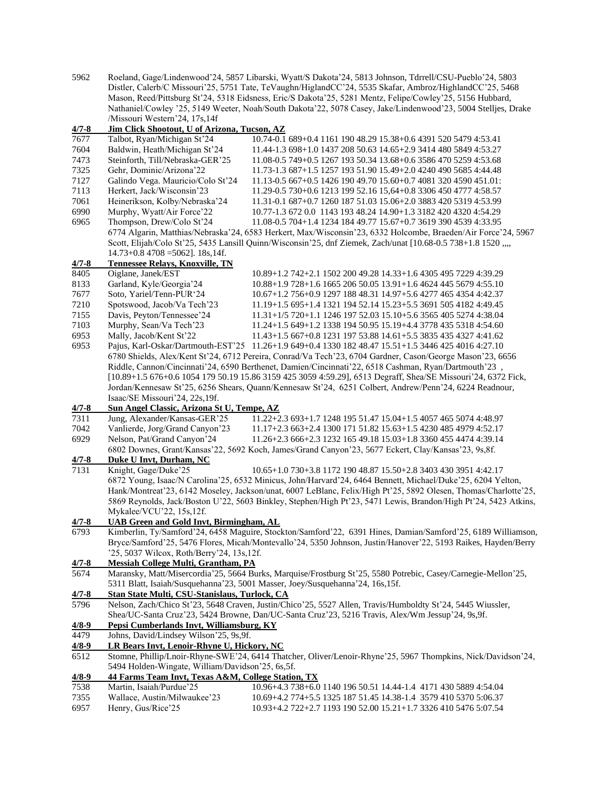5962 Roeland, Gage/Lindenwood'24, 5857 Libarski, Wyatt/S Dakota'24, 5813 Johnson, Tdrrell/CSU-Pueblo'24, 5803 Distler, Calerb/C Missouri'25, 5751 Tate, TeVaughn/HiglandCC'24, 5535 Skafar, Ambroz/HighlandCC'25, 5468 Mason, Reed/Pittsburg St'24, 5318 Eidsness, Eric/S Dakota'25, 5281 Mentz, Felipe/Cowley'25, 5156 Hubbard, Nathaniel/Cowley '25, 5149 Weeter, Noah/South Dakota'22, 5078 Casey, Jake/Lindenwood'23, 5004 Stelljes, Drake /Missouri Western'24, 17s,14f

| $4/7 - 8$          | Jim Click Shootout, U of Arizona, Tucson, AZ                                                                 |                                                                                                                 |  |  |  |  |
|--------------------|--------------------------------------------------------------------------------------------------------------|-----------------------------------------------------------------------------------------------------------------|--|--|--|--|
| 7677               | Talbot, Ryan/Michigan St'24                                                                                  | 10.74-0.1 689+0.4 1161 190 48.29 15.38+0.6 4391 520 5479 4:53.41                                                |  |  |  |  |
| 7604               | Baldwin, Heath/Michigan St'24                                                                                | 11.44-1.3 698+1.0 1437 208 50.63 14.65+2.9 3414 480 5849 4:53.27                                                |  |  |  |  |
| 7473               | Steinforth, Till/Nebraska-GER'25                                                                             | 11.08-0.5 749+0.5 1267 193 50.34 13.68+0.6 3586 470 5259 4:53.68                                                |  |  |  |  |
| 7325               | Gehr, Dominic/Arizona'22                                                                                     | 11.73-1.3 687+1.5 1257 193 51.90 15.49+2.0 4240 490 5685 4:44.48                                                |  |  |  |  |
| 7127               | Galindo Vega. Mauricio/Colo St'24                                                                            | 11.13-0.5 667+0.5 1426 190 49.70 15.60+0.7 4081 320 4590 451.01:                                                |  |  |  |  |
| 7113               | Herkert, Jack/Wisconsin'23                                                                                   | 11.29-0.5 730+0.6 1213 199 52.16 15,64+0.8 3306 450 4777 4:58.57                                                |  |  |  |  |
| 7061               | Heinerikson, Kolby/Nebraska'24                                                                               | 11.31-0.1 687+0.7 1260 187 51.03 15.06+2.0 3883 420 5319 4:53.99                                                |  |  |  |  |
| 6990               | Murphy, Wyatt/Air Force'22                                                                                   | 10.77-1.3 672 0.0 1143 193 48.24 14.90+1.3 3182 420 4320 4:54.29                                                |  |  |  |  |
| 6965               | Thompson, Drew/Colo St'24                                                                                    | 11.08-0.5 704+1.4 1234 184 49.77 15.67+0.7 3619 390 4539 4:33.95                                                |  |  |  |  |
|                    |                                                                                                              | 6774 Algarin, Matthias/Nebraska'24, 6583 Herkert, Max/Wisconsin'23, 6332 Holcombe, Braeden/Air Force'24, 5967   |  |  |  |  |
|                    |                                                                                                              |                                                                                                                 |  |  |  |  |
|                    | $14.73+0.8$ 4708 = 5062]. 18s, 14f.                                                                          | Scott, Elijah/Colo St'25, 5435 Lansill Quinn/Wisconsin'25, dnf Ziemek, Zach/unat [10.68-0.5 738+1.8 1520 ,,,,   |  |  |  |  |
|                    |                                                                                                              |                                                                                                                 |  |  |  |  |
| $4/7 - 8$          | Tennessee Relays, Knoxville, TN                                                                              |                                                                                                                 |  |  |  |  |
| 8405               | Oiglane, Janek/EST                                                                                           | 10.89+1.2 742+2.1 1502 200 49.28 14.33+1.6 4305 495 7229 4:39.29                                                |  |  |  |  |
| 8133               | Garland, Kyle/Georgia'24                                                                                     | 10.88+1.9 728+1.6 1665 206 50.05 13.91+1.6 4624 445 5679 4:55.10                                                |  |  |  |  |
| 7677               | Soto, Yariel/Tenn-PUR'24                                                                                     | 10.67+1.2 756+0.9 1297 188 48.31 14.97+5.6 4277 465 4354 4:42.37                                                |  |  |  |  |
| 7210               | Spotswood, Jacob/Va Tech'23                                                                                  | 11.19+1.5 695+1.4 1321 194 52.14 15.23+5.5 3691 505 4182 4:49.45                                                |  |  |  |  |
| 7155               | Davis, Peyton/Tennessee'24                                                                                   | 11.31+1/5 720+1.1 1246 197 52.03 15.10+5.6 3565 405 5274 4:38.04                                                |  |  |  |  |
| 7103               | Murphy, Sean/Va Tech'23                                                                                      | 11.24+1.5 649+1.2 1338 194 50.95 15.19+4.4 3778 435 5318 4:54.60                                                |  |  |  |  |
| 6953               | Mally, Jacob/Kent St'22                                                                                      | 11.43+1.5 667+0.8 1231 197 53.88 14.61+5.5 3835 435 4327 4:41.62                                                |  |  |  |  |
| 6953               |                                                                                                              | Pajus, Karl-Oskar/Dartmouth-EST'25 11.26+1.9 649+0.4 1330 182 48.47 15.51+1.5 3446 425 4016 4:27.10             |  |  |  |  |
|                    |                                                                                                              | 6780 Shields, Alex/Kent St'24, 6712 Pereira, Conrad/Va Tech'23, 6704 Gardner, Cason/George Mason'23, 6656       |  |  |  |  |
|                    |                                                                                                              | Riddle, Cannon/Cincinnati'24, 6590 Berthenet, Damien/Cincinnati'22, 6518 Cashman, Ryan/Dartmouth'23,            |  |  |  |  |
|                    |                                                                                                              | [10.89+1.5 676+0.6 1054 179 50.19 15.86 3159 425 3059 4:59.29], 6513 Degraff, Shea/SE Missouri'24, 6372 Fick,   |  |  |  |  |
|                    | Jordan/Kennesaw St'25, 6256 Shears, Quann/Kennesaw St'24, 6251 Colbert, Andrew/Penn'24, 6224 Readnour,       |                                                                                                                 |  |  |  |  |
|                    | Isaac/SE Missouri'24, 22s, 19f.                                                                              |                                                                                                                 |  |  |  |  |
| $4/7 - 8$          | Sun Angel Classic, Arizona St U, Tempe, AZ                                                                   |                                                                                                                 |  |  |  |  |
| 7311               | Jung, Alexander/Kansas-GER'25                                                                                | 11.22+2.3 693+1.7 1248 195 51.47 15.04+1.5 4057 465 5074 4:48.97                                                |  |  |  |  |
| 7042               | Vanlierde, Jorg/Grand Canyon'23                                                                              | 11.17+2.3 663+2.4 1300 171 51.82 15.63+1.5 4230 485 4979 4:52.17                                                |  |  |  |  |
| 6929               | Nelson, Pat/Grand Canyon'24                                                                                  | 11.26+2.3 666+2.3 1232 165 49.18 15.03+1.8 3360 455 4474 4:39.14                                                |  |  |  |  |
|                    |                                                                                                              | 6802 Downes, Grant/Kansas'22, 5692 Koch, James/Grand Canyon'23, 5677 Eckert, Clay/Kansas'23, 9s,8f.             |  |  |  |  |
| $4/7 - 8$          | Duke U Invt, Durham, NC                                                                                      |                                                                                                                 |  |  |  |  |
| $\overline{7}$ 131 | Knight, Gage/Duke'25                                                                                         | 10.65+1.0 730+3.8 1172 190 48.87 15.50+2.8 3403 430 3951 4:42.17                                                |  |  |  |  |
|                    |                                                                                                              | 6872 Young, Isaac/N Carolina'25, 6532 Minicus, John/Harvard'24, 6464 Bennett, Michael/Duke'25, 6204 Yelton,     |  |  |  |  |
|                    |                                                                                                              | Hank/Montreat'23, 6142 Moseley, Jackson/unat, 6007 LeBlanc, Felix/High Pt'25, 5892 Olesen, Thomas/Charlotte'25, |  |  |  |  |
|                    |                                                                                                              | 5869 Reynolds, Jack/Boston U'22, 5603 Binkley, Stephen/High Pt'23, 5471 Lewis, Brandon/High Pt'24, 5423 Atkins, |  |  |  |  |
|                    | Mykalee/VCU'22, 15s, 12f.                                                                                    |                                                                                                                 |  |  |  |  |
| $4/7 - 8$          | <b>UAB Green and Gold Invt, Birmingham, AL</b>                                                               |                                                                                                                 |  |  |  |  |
| 6793               |                                                                                                              | Kimberlin, Ty/Samford'24, 6458 Maguire, Stockton/Samford'22, 6391 Hines, Damian/Samford'25, 6189 Williamson,    |  |  |  |  |
|                    |                                                                                                              | Bryce/Samford'25, 5476 Flores, Micah/Montevallo'24, 5350 Johnson, Justin/Hanover'22, 5193 Raikes, Hayden/Berry  |  |  |  |  |
|                    | '25, 5037 Wilcox, Roth/Berry'24, 13s, 12f.                                                                   |                                                                                                                 |  |  |  |  |
| 4/7-8              | <b>Messiah College Multi, Grantham, PA</b>                                                                   |                                                                                                                 |  |  |  |  |
| 5674               |                                                                                                              | Maransky, Matt/Misercordia'25, 5664 Burks, Marquise/Frostburg St'25, 5580 Potrebic, Casey/Carnegie-Mellon'25,   |  |  |  |  |
|                    |                                                                                                              | 5311 Blatt, Isaiah/Susquehanna'23, 5001 Masser, Joey/Susquehanna'24, 16s,15f.                                   |  |  |  |  |
| $4/7 - 8$          | Stan State Multi, CSU-Stanislaus, Turlock, CA                                                                |                                                                                                                 |  |  |  |  |
| 5796               |                                                                                                              | Nelson, Zach/Chico St'23, 5648 Craven, Justin/Chico'25, 5527 Allen, Travis/Humboldty St'24, 5445 Wiussler,      |  |  |  |  |
|                    | Shea/UC-Santa Cruz'23, 5424 Browne, Dan/UC-Santa Cruz'23, 5216 Travis, Alex/Wm Jessup'24, 9s,9f.             |                                                                                                                 |  |  |  |  |
| $4/8-9$            | Pepsi Cumberlands Invt, Williamsburg, KY                                                                     |                                                                                                                 |  |  |  |  |
| 4479               | Johns, David/Lindsey Wilson'25, 9s,9f.                                                                       |                                                                                                                 |  |  |  |  |
| $4/8 - 9$          | LR Bears Invt, Lenoir-Rhyne U, Hickory, NC                                                                   |                                                                                                                 |  |  |  |  |
| 6512               | Stomne, Phillip/Lnoir-Rhyne-SWE'24, 6414 Thatcher, Oliver/Lenoir-Rhyne'25, 5967 Thompkins, Nick/Davidson'24, |                                                                                                                 |  |  |  |  |
|                    | 5494 Holden-Wingate, William/Davidson'25, 6s, 5f.                                                            |                                                                                                                 |  |  |  |  |
| $4/8 - 9$          | 44 Farms Team Invt, Texas A&M, College Station, TX                                                           |                                                                                                                 |  |  |  |  |
| 7538               | Martin, Isaiah/Purdue'25                                                                                     | 10.96+4.3 738+6.0 1140 196 50.51 14.44-1.4 4171 430 5889 4:54.04                                                |  |  |  |  |
| 7355               | Wallace, Austin/Milwaukee'23                                                                                 | 10.69+4.2 774+5.5 1325 187 51.45 14.38-1.4 3579 410 5370 5:06.37                                                |  |  |  |  |

6957 Henry, Gus/Rice'25 10.93+4.2 722+2.7 1193 190 52.00 15.21+1.7 3326 410 5476 5:07.54